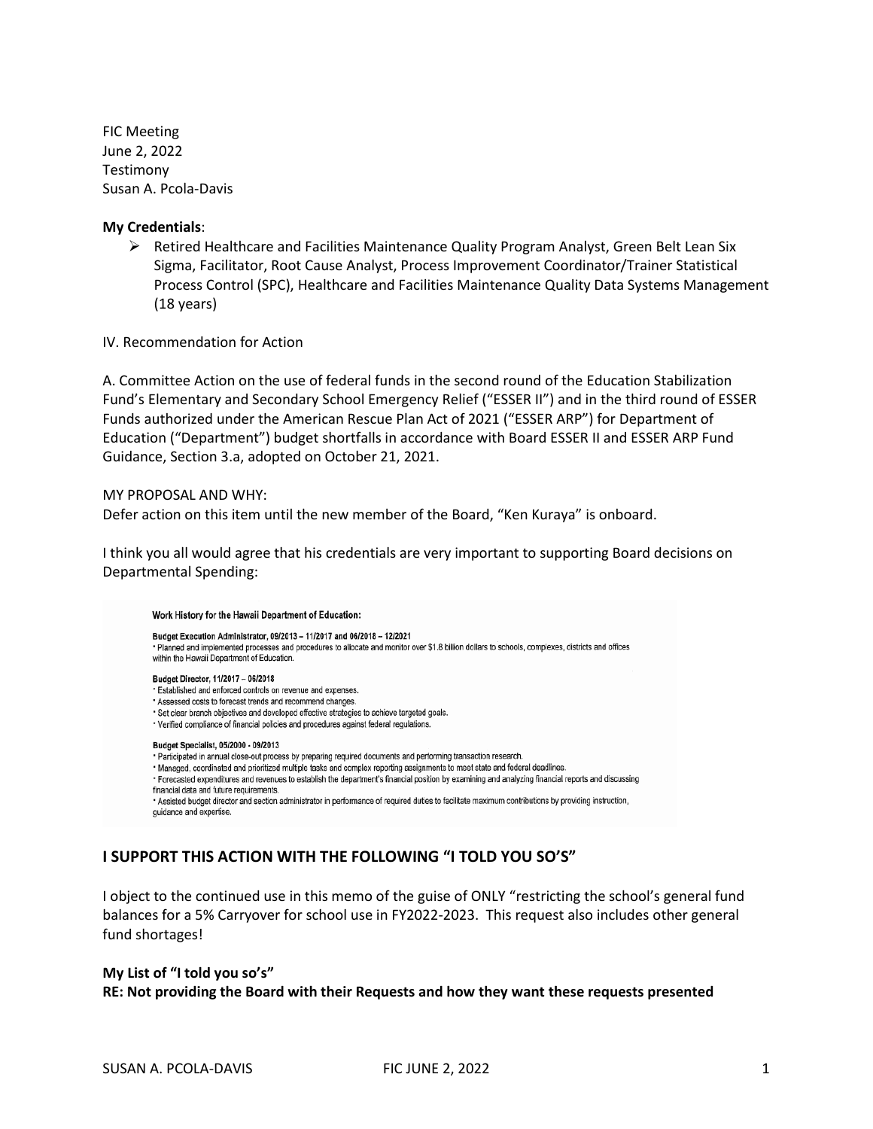FIC Meeting June 2, 2022 Testimony Susan A. Pcola-Davis

#### **My Credentials**:

➢ Retired Healthcare and Facilities Maintenance Quality Program Analyst, Green Belt Lean Six Sigma, Facilitator, Root Cause Analyst, Process Improvement Coordinator/Trainer Statistical Process Control (SPC), Healthcare and Facilities Maintenance Quality Data Systems Management (18 years)

IV. Recommendation for Action

A. Committee Action on the use of federal funds in the second round of the Education Stabilization Fund's Elementary and Secondary School Emergency Relief ("ESSER II") and in the third round of ESSER Funds authorized under the American Rescue Plan Act of 2021 ("ESSER ARP") for Department of Education ("Department") budget shortfalls in accordance with Board ESSER II and ESSER ARP Fund Guidance, Section 3.a, adopted on October 21, 2021.

#### MY PROPOSAL AND WHY:

Defer action on this item until the new member of the Board, "Ken Kuraya" is onboard.

I think you all would agree that his credentials are very important to supporting Board decisions on Departmental Spending:

#### Work History for the Hawaii Department of Education:

Budget Execution Administrator, 09/2013 - 11/2017 and 06/2018 - 12/2021 · Planned and implemented processes and procedures to allocate and monitor over \$1.8 billion dollars to schools, complexes, districts and offices within the Hawaii Department of Education. Budget Director, 11/2017 - 06/2018 · Established and enforced controls on revenue and expenses. Assessed costs to forecast trends and recommend changes. \* Set clear branch objectives and developed effective strategies to achieve targeted goals. · Verified compliance of financial policies and procedures against federal regulations.

#### Budget Specialist, 05/2000 - 09/2013

- · Participated in annual close-out process by preparing required documents and performing transaction research.
- \* Managed, coordinated and prioritized multiple tasks and complex reporting assignments to meet state and federal deadlines.
- · Forecasted expenditures and revenues to establish the department's financial position by examining and analyzing financial reports and discussing financial data and future requirements.

· Assisted budget director and section administrator in performance of required duties to facilitate maximum contributions by providing instruction, guidance and expertise.

## **I SUPPORT THIS ACTION WITH THE FOLLOWING "I TOLD YOU SO'S"**

I object to the continued use in this memo of the guise of ONLY "restricting the school's general fund balances for a 5% Carryover for school use in FY2022-2023. This request also includes other general fund shortages!

## **My List of "I told you so's" RE: Not providing the Board with their Requests and how they want these requests presented**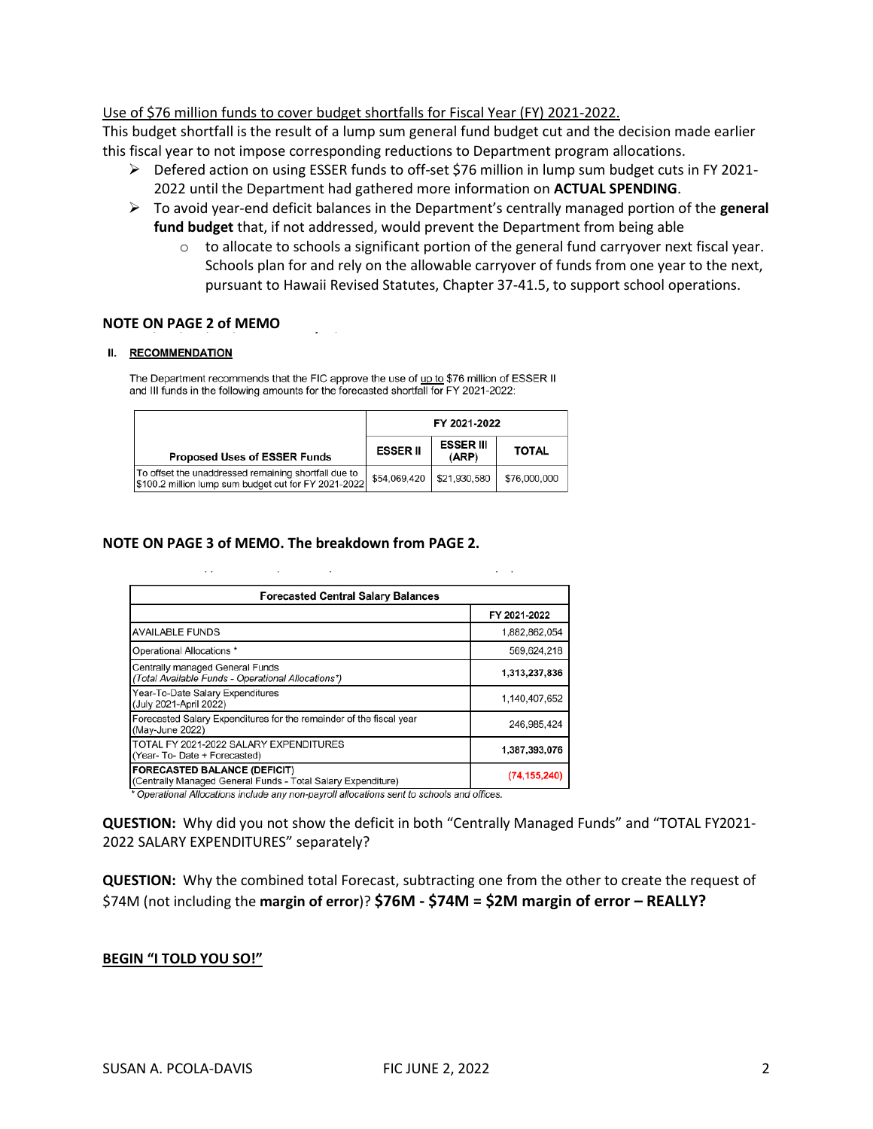Use of \$76 million funds to cover budget shortfalls for Fiscal Year (FY) 2021-2022.

This budget shortfall is the result of a lump sum general fund budget cut and the decision made earlier this fiscal year to not impose corresponding reductions to Department program allocations.

- ➢ Defered action on using ESSER funds to off-set \$76 million in lump sum budget cuts in FY 2021- 2022 until the Department had gathered more information on **ACTUAL SPENDING**.
- ➢ To avoid year-end deficit balances in the Department's centrally managed portion of the **general fund budget** that, if not addressed, would prevent the Department from being able
	- $\circ$  to allocate to schools a significant portion of the general fund carryover next fiscal year. Schools plan for and rely on the allowable carryover of funds from one year to the next, pursuant to Hawaii Revised Statutes, Chapter 37-41.5, to support school operations.

#### **NOTE ON PAGE 2 of MEMO**

#### II. RECOMMENDATION

The Department recommends that the FIC approve the use of up to \$76 million of ESSER II and III funds in the following amounts for the forecasted shortfall for FY 2021-2022:

|                                                                                                              | FY 2021-2022                |                           |              |
|--------------------------------------------------------------------------------------------------------------|-----------------------------|---------------------------|--------------|
| <b>Proposed Uses of ESSER Funds</b>                                                                          | <b>ESSER II</b>             | <b>ESSER III</b><br>(ARP) | <b>TOTAL</b> |
| To offset the unaddressed remaining shortfall due to<br>\$100.2 million lump sum budget cut for FY 2021-2022 | \$54,069,420   \$21,930,580 |                           | \$76,000,000 |

#### **NOTE ON PAGE 3 of MEMO. The breakdown from PAGE 2.**

| <b>Forecasted Central Salary Balances</b>                                              |               |  |
|----------------------------------------------------------------------------------------|---------------|--|
|                                                                                        | FY 2021-2022  |  |
| <b>AVAILABLE FUNDS</b>                                                                 | 1,882,862,054 |  |
| Operational Allocations *                                                              | 569,624,218   |  |
| Centrally managed General Funds<br>(Total Available Funds - Operational Allocations*)  | 1.313.237.836 |  |
| Year-To-Date Salary Expenditures<br>(July 2021-April 2022)                             | 1.140.407.652 |  |
| Forecasted Salary Expenditures for the remainder of the fiscal year<br>(May-June 2022) | 246.985.424   |  |
| TOTAL FY 2021-2022 SALARY EXPENDITURES<br>(Year- To- Date + Forecasted)                | 1,387,393,076 |  |
| <b>FORECASTED BALANCE (DEFICIT)</b>                                                    | (74.155.240)  |  |

(Centrally Managed General Funds - Total Salary Expenditure) Operational Allocations include any non-payroll allocations sent to schools and offices.

**QUESTION:** Why did you not show the deficit in both "Centrally Managed Funds" and "TOTAL FY2021- 2022 SALARY EXPENDITURES" separately?

**QUESTION:** Why the combined total Forecast, subtracting one from the other to create the request of \$74M (not including the **margin of error**)? **\$76M - \$74M = \$2M margin of error – REALLY?**

#### **BEGIN "I TOLD YOU SO!"**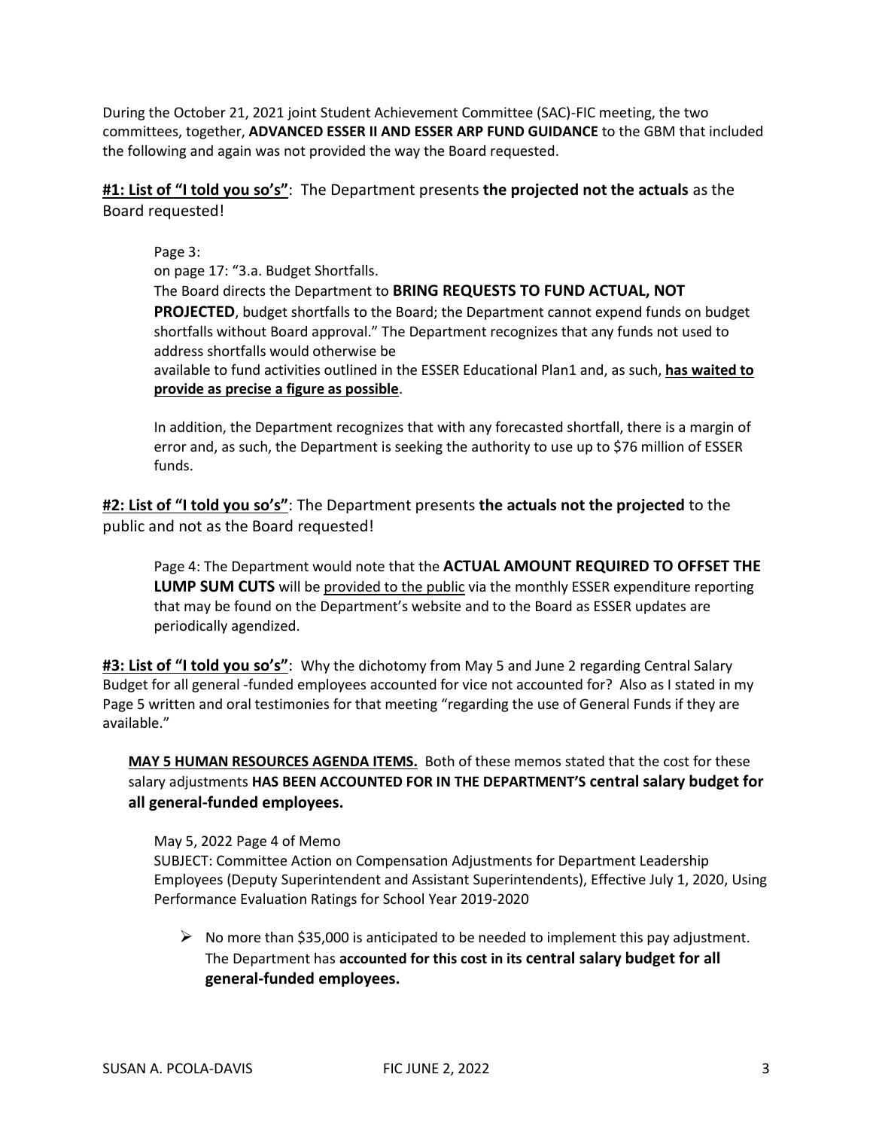During the October 21, 2021 joint Student Achievement Committee (SAC)-FIC meeting, the two committees, together, **ADVANCED ESSER II AND ESSER ARP FUND GUIDANCE** to the GBM that included the following and again was not provided the way the Board requested.

**#1: List of "I told you so's"**: The Department presents **the projected not the actuals** as the Board requested!

Page 3: on page 17: "3.a. Budget Shortfalls. The Board directs the Department to **BRING REQUESTS TO FUND ACTUAL, NOT PROJECTED**, budget shortfalls to the Board; the Department cannot expend funds on budget shortfalls without Board approval." The Department recognizes that any funds not used to address shortfalls would otherwise be available to fund activities outlined in the ESSER Educational Plan1 and, as such, **has waited to provide as precise a figure as possible**.

In addition, the Department recognizes that with any forecasted shortfall, there is a margin of error and, as such, the Department is seeking the authority to use up to \$76 million of ESSER funds.

**#2: List of "I told you so's"**: The Department presents **the actuals not the projected** to the public and not as the Board requested!

Page 4: The Department would note that the **ACTUAL AMOUNT REQUIRED TO OFFSET THE LUMP SUM CUTS** will be provided to the public via the monthly ESSER expenditure reporting that may be found on the Department's website and to the Board as ESSER updates are periodically agendized.

**#3: List of "I told you so's"**: Why the dichotomy from May 5 and June 2 regarding Central Salary Budget for all general -funded employees accounted for vice not accounted for? Also as I stated in my Page 5 written and oral testimonies for that meeting "regarding the use of General Funds if they are available."

**MAY 5 HUMAN RESOURCES AGENDA ITEMS.** Both of these memos stated that the cost for these salary adjustments **HAS BEEN ACCOUNTED FOR IN THE DEPARTMENT'S central salary budget for all general-funded employees.**

## May 5, 2022 Page 4 of Memo

SUBJECT: Committee Action on Compensation Adjustments for Department Leadership Employees (Deputy Superintendent and Assistant Superintendents), Effective July 1, 2020, Using Performance Evaluation Ratings for School Year 2019-2020

 $\triangleright$  No more than \$35,000 is anticipated to be needed to implement this pay adjustment. The Department has **accounted for this cost in its central salary budget for all general-funded employees.**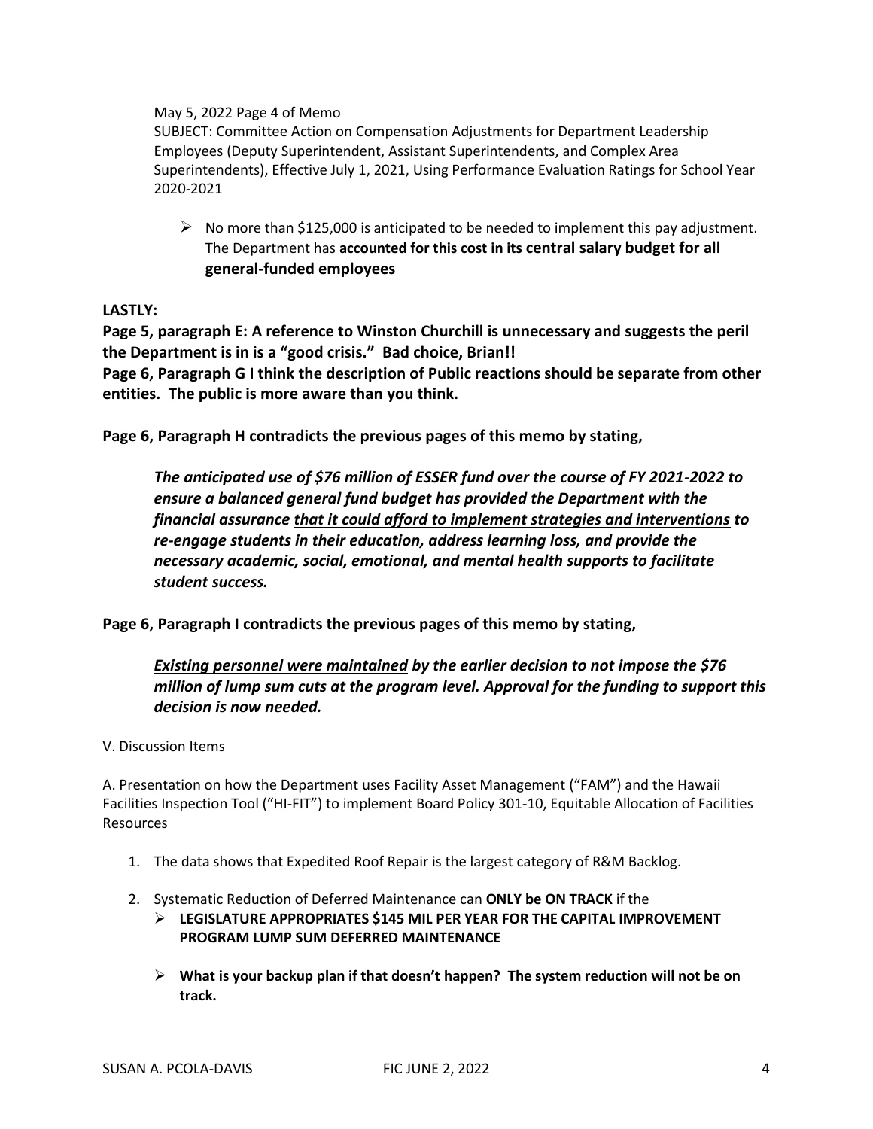May 5, 2022 Page 4 of Memo

SUBJECT: Committee Action on Compensation Adjustments for Department Leadership Employees (Deputy Superintendent, Assistant Superintendents, and Complex Area Superintendents), Effective July 1, 2021, Using Performance Evaluation Ratings for School Year 2020-2021

 $\triangleright$  No more than \$125,000 is anticipated to be needed to implement this pay adjustment. The Department has **accounted for this cost in its central salary budget for all general-funded employees**

**LASTLY:** 

**Page 5, paragraph E: A reference to Winston Churchill is unnecessary and suggests the peril the Department is in is a "good crisis." Bad choice, Brian!! Page 6, Paragraph G I think the description of Public reactions should be separate from other entities. The public is more aware than you think.**

**Page 6, Paragraph H contradicts the previous pages of this memo by stating,** 

*The anticipated use of \$76 million of ESSER fund over the course of FY 2021-2022 to ensure a balanced general fund budget has provided the Department with the financial assurance that it could afford to implement strategies and interventions to re-engage students in their education, address learning loss, and provide the necessary academic, social, emotional, and mental health supports to facilitate student success.*

**Page 6, Paragraph I contradicts the previous pages of this memo by stating,**

*Existing personnel were maintained by the earlier decision to not impose the \$76 million of lump sum cuts at the program level. Approval for the funding to support this decision is now needed.*

V. Discussion Items

A. Presentation on how the Department uses Facility Asset Management ("FAM") and the Hawaii Facilities Inspection Tool ("HI-FIT") to implement Board Policy 301-10, Equitable Allocation of Facilities Resources

- 1. The data shows that Expedited Roof Repair is the largest category of R&M Backlog.
- 2. Systematic Reduction of Deferred Maintenance can **ONLY be ON TRACK** if the
	- ➢ **LEGISLATURE APPROPRIATES \$145 MIL PER YEAR FOR THE CAPITAL IMPROVEMENT PROGRAM LUMP SUM DEFERRED MAINTENANCE**
	- ➢ **What is your backup plan if that doesn't happen? The system reduction will not be on track.**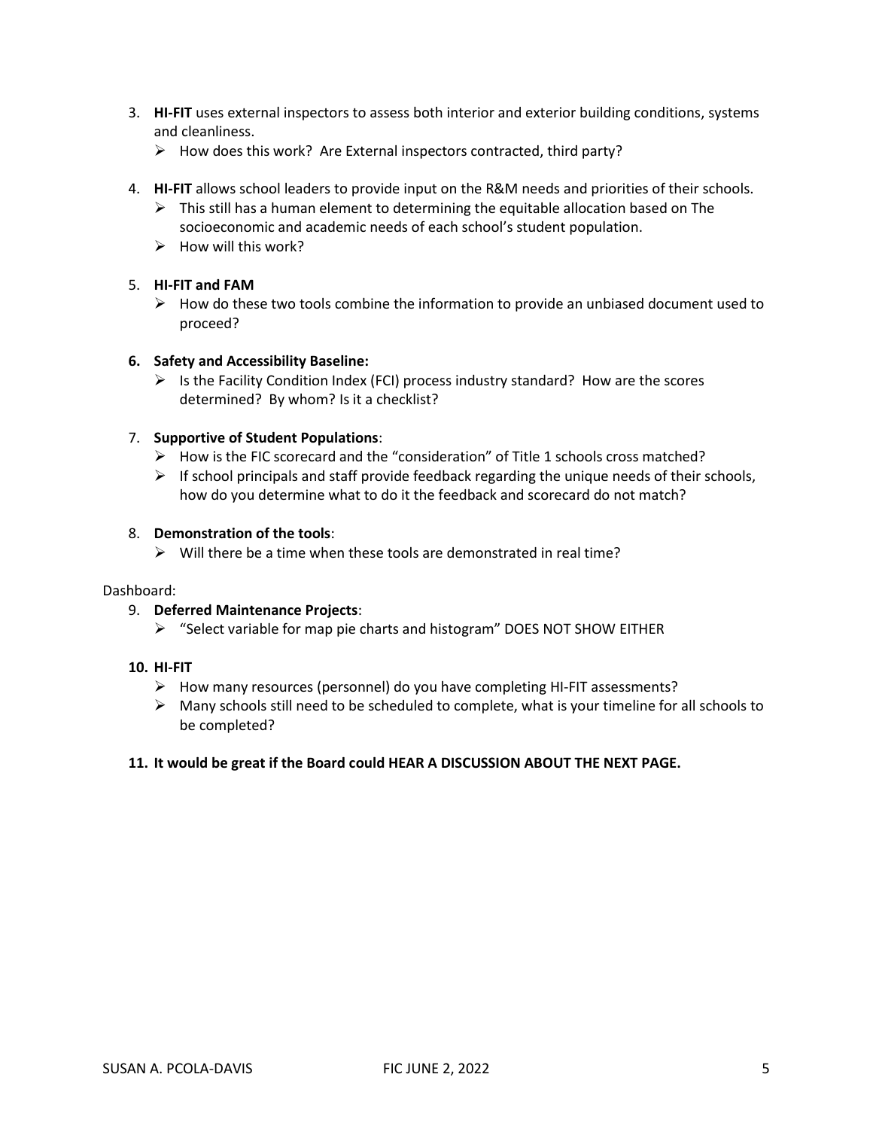- 3. **HI-FIT** uses external inspectors to assess both interior and exterior building conditions, systems and cleanliness.
	- $\triangleright$  How does this work? Are External inspectors contracted, third party?
- 4. **HI-FIT** allows school leaders to provide input on the R&M needs and priorities of their schools.
	- $\triangleright$  This still has a human element to determining the equitable allocation based on The socioeconomic and academic needs of each school's student population.
	- $\triangleright$  How will this work?

#### 5. **HI-FIT and FAM**

 $\triangleright$  How do these two tools combine the information to provide an unbiased document used to proceed?

#### **6. Safety and Accessibility Baseline:**

 $\triangleright$  Is the Facility Condition Index (FCI) process industry standard? How are the scores determined? By whom? Is it a checklist?

#### 7. **Supportive of Student Populations**:

- $\triangleright$  How is the FIC scorecard and the "consideration" of Title 1 schools cross matched?
- $\triangleright$  If school principals and staff provide feedback regarding the unique needs of their schools, how do you determine what to do it the feedback and scorecard do not match?

#### 8. **Demonstration of the tools**:

 $\triangleright$  Will there be a time when these tools are demonstrated in real time?

#### Dashboard:

#### 9. **Deferred Maintenance Projects**:

 $\triangleright$  "Select variable for map pie charts and histogram" DOES NOT SHOW EITHER

## **10. HI-FIT**

- ➢ How many resources (personnel) do you have completing HI-FIT assessments?
- $\triangleright$  Many schools still need to be scheduled to complete, what is your timeline for all schools to be completed?

#### **11. It would be great if the Board could HEAR A DISCUSSION ABOUT THE NEXT PAGE.**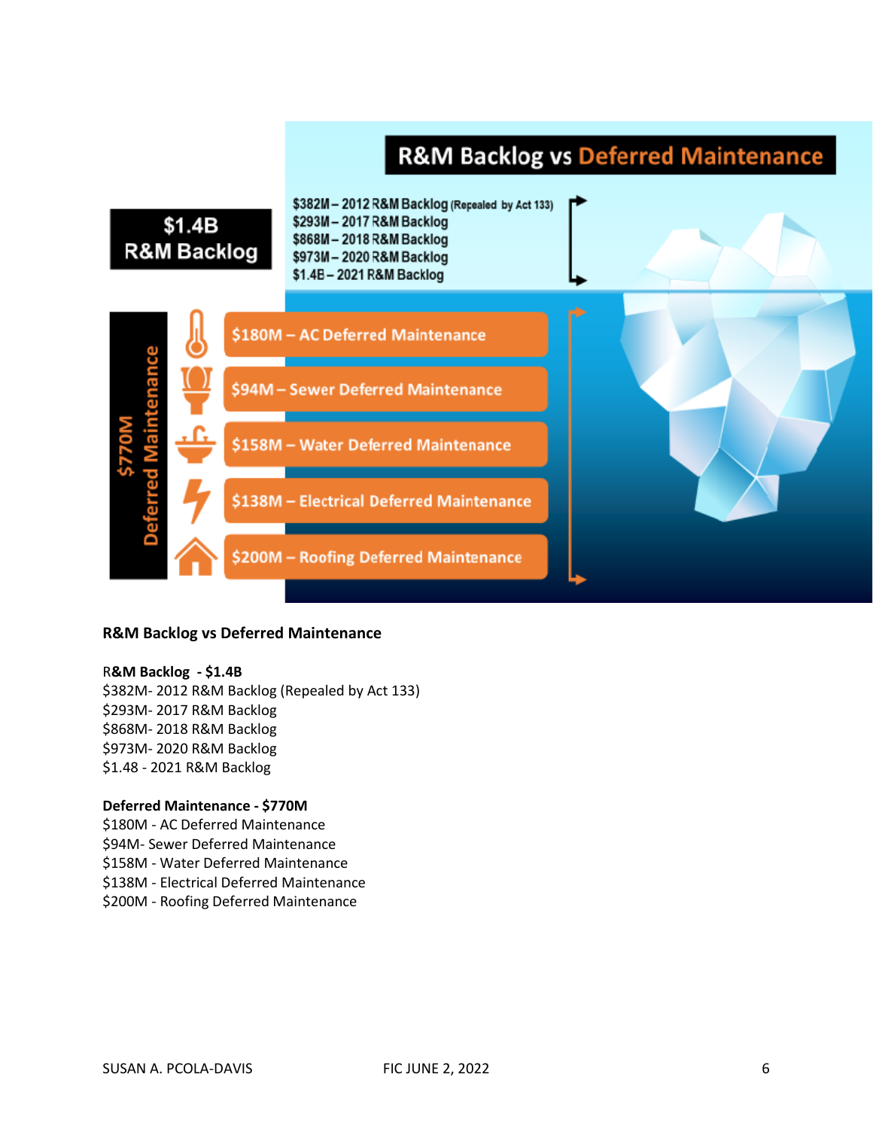# **R&M Backlog vs Deferred Maintenance**



#### **R&M Backlog vs Deferred Maintenance**

#### R**&M Backlog - \$1.4B**

\$382M- 2012 R&M Backlog (Repealed by Act 133) \$293M- 2017 R&M Backlog \$868M- 2018 R&M Backlog \$973M- 2020 R&M Backlog \$1.48 - 2021 R&M Backlog

#### **Deferred Maintenance - \$770M**

\$180M - AC Deferred Maintenance \$94M- Sewer Deferred Maintenance \$158M - Water Deferred Maintenance \$138M - Electrical Deferred Maintenance \$200M - Roofing Deferred Maintenance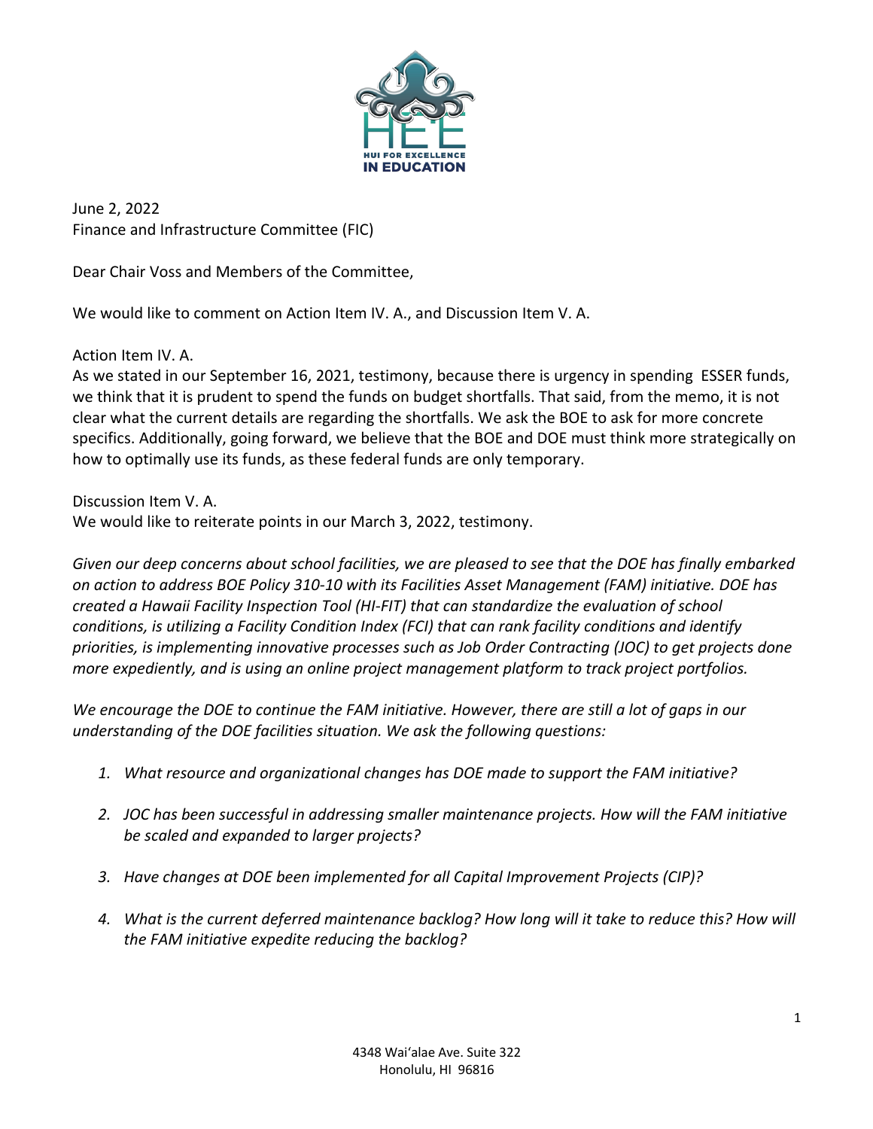

June 2, 2022 Finance and Infrastructure Committee (FIC)

Dear Chair Voss and Members of the Committee,

We would like to comment on Action Item IV. A., and Discussion Item V. A.

Action Item IV. A.

As we stated in our September 16, 2021, testimony, because there is urgency in spending ESSER funds, we think that it is prudent to spend the funds on budget shortfalls. That said, from the memo, it is not clear what the current details are regarding the shortfalls. We ask the BOE to ask for more concrete specifics. Additionally, going forward, we believe that the BOE and DOE must think more strategically on how to optimally use its funds, as these federal funds are only temporary.

Discussion Item V. A.

We would like to reiterate points in our March 3, 2022, testimony.

*Given our deep concerns about school facilities, we are pleased to see that the DOE has finally embarked on action to address BOE Policy 310-10 with its Facilities Asset Management (FAM) initiative. DOE has created a Hawaii Facility Inspection Tool (HI-FIT) that can standardize the evaluation of school conditions, is utilizing a Facility Condition Index (FCI) that can rank facility conditions and identify priorities, is implementing innovative processes such as Job Order Contracting (JOC) to get projects done more expediently, and is using an online project management platform to track project portfolios.* 

*We encourage the DOE to continue the FAM initiative. However, there are still a lot of gaps in our understanding of the DOE facilities situation. We ask the following questions:* 

- *1. What resource and organizational changes has DOE made to support the FAM initiative?*
- *2. JOC has been successful in addressing smaller maintenance projects. How will the FAM initiative be scaled and expanded to larger projects?*
- *3. Have changes at DOE been implemented for all Capital Improvement Projects (CIP)?*
- *4. What is the current deferred maintenance backlog? How long will it take to reduce this? How will the FAM initiative expedite reducing the backlog?*